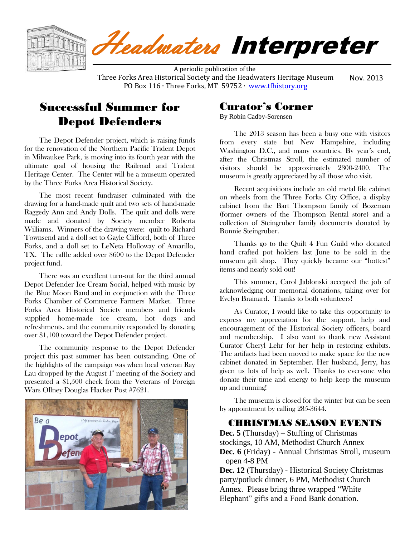

 A periodic publication of the Three Forks Area Historical Society and the Headwaters Heritage Museum PO Box 116 ⋅ Three Forks, MT 59752 ⋅ [www.tfhistory.org](http://www.tfhistory.org/) Nov. 2013

# Successful Summer for Depot Defenders

The Depot Defender project, which is raising funds for the renovation of the Northern Pacific Trident Depot in Milwaukee Park, is moving into its fourth year with the ultimate goal of housing the Railroad and Trident Heritage Center. The Center will be a museum operated by the Three Forks Area Historical Society.

The most recent fundraiser culminated with the drawing for a hand-made quilt and two sets of hand-made Raggedy Ann and Andy Dolls. The quilt and dolls were made and donated by Society member Roberta Williams. Winners of the drawing were: quilt to Richard Townsend and a doll set to Gayle Clifford, both of Three Forks, and a doll set to LeNeta Holloway of Amarillo, TX. The raffle added over \$600 to the Depot Defender project fund.

There was an excellent turn-out for the third annual Depot Defender Ice Cream Social, helped with music by the Blue Moon Band and in conjunction with the Three Forks Chamber of Commerce Farmers' Market. Three Forks Area Historical Society members and friends supplied home-made ice cream, hot dogs and refreshments, and the community responded by donating over \$1,100 toward the Depot Defender project.

The community response to the Depot Defender project this past summer has been outstanding. One of the highlights of the campaign was when local veteran Ray Lau dropped by the August  $1^s$  meeting of the Society and presented a \$1,500 check from the Veterans of Foreign Wars Ollney Douglas Hacker Post #7621.



# Curator's Corner

By Robin Cadby-Sorensen

The 2013 season has been a busy one with visitors from every state but New Hampshire, including Washington D.C., and many countries. By year's end, after the Christmas Stroll, the estimated number of visitors should be approximately 2300-2400. The museum is greatly appreciated by all those who visit.

Recent acquisitions include an old metal file cabinet on wheels from the Three Forks City Office, a display cabinet from the Bart Thompson family of Bozeman (former owners of the Thompson Rental store) and a collection of Steingruber family documents donated by Bonnie Steingruber.

Thanks go to the Quilt 4 Fun Guild who donated hand crafted pot holders last June to be sold in the museum gift shop. They quickly became our "hottest" items and nearly sold out!

This summer, Carol Jablonski accepted the job of acknowledging our memorial donations, taking over for Evelyn Brainard. Thanks to both volunteers!

As Curator, I would like to take this opportunity to express my appreciation for the support, help and encouragement of the Historical Society officers, board and membership. I also want to thank new Assistant Curator Cheryl Lehr for her help in restoring exhibits. The artifacts had been moved to make space for the new cabinet donated in September. Her husband, Jerry, has given us lots of help as well. Thanks to everyone who donate their time and energy to help keep the museum up and running!

The museum is closed for the winter but can be seen by appointment by calling 285-3644.

#### CHRISTMAS SEASON EVENTS

**Dec. 5** (Thursday) – Stuffing of Christmas stockings, 10 AM, Methodist Church Annex **Dec. 6** (Friday) - Annual Christmas Stroll, museum open 4-8 PM **Dec. 12** (Thursday) - Historical Society Christmas party/potluck dinner, 6 PM, Methodist Church Annex. Please bring three wrapped "White

Elephant" gifts and a Food Bank donation.